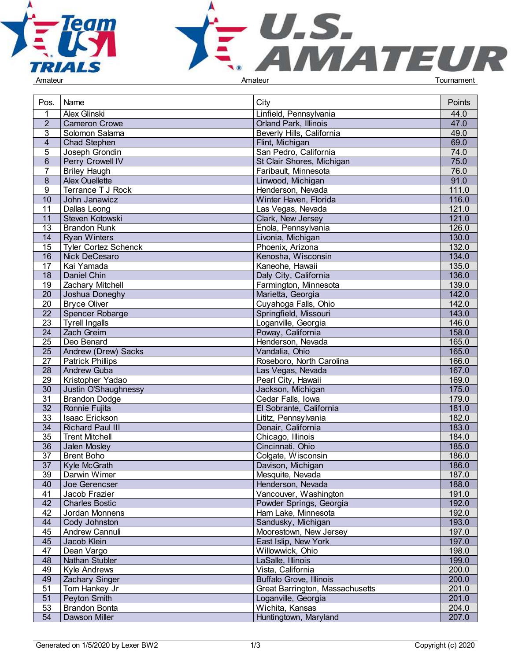



| Pos.            | Name                        | City                                   | Points |
|-----------------|-----------------------------|----------------------------------------|--------|
|                 | Alex Glinski                | Linfield, Pennsylvania                 | 44.0   |
| $\overline{2}$  | <b>Cameron Crowe</b>        | <b>Orland Park, Illinois</b>           | 47.0   |
| 3               | Solomon Salama              | Beverly Hills, California              | 49.0   |
| $\overline{4}$  | <b>Chad Stephen</b>         | Flint, Michigan                        | 69.0   |
| 5               | Joseph Grondin              | San Pedro, California                  | 74.0   |
| 6               | Perry Crowell IV            | St Clair Shores, Michigan              | 75.0   |
| $\overline{7}$  | <b>Briley Haugh</b>         | Faribault, Minnesota                   | 76.0   |
| 8               | <b>Alex Ouellette</b>       | Linwood, Michigan                      | 91.0   |
| 9               | Terrance T J Rock           | Henderson, Nevada                      | 111.0  |
| 10              | John Janawicz               | Winter Haven, Florida                  | 116.0  |
| 11              | Dallas Leong                | Las Vegas, Nevada                      | 121.0  |
| 11              | Steven Kotowski             | Clark, New Jersey                      | 121.0  |
| 13              | <b>Brandon Runk</b>         | Enola, Pennsylvania                    | 126.0  |
| 14              | <b>Ryan Winters</b>         | Livonia, Michigan                      | 130.0  |
| 15              | <b>Tyler Cortez Schenck</b> | Phoenix, Arizona                       | 132.0  |
| 16              | Nick DeCesaro               | Kenosha, Wisconsin                     | 134.0  |
| 17              | Kai Yamada                  | Kaneohe, Hawaii                        | 135.0  |
| 18              | Daniel Chin                 | Daly City, California                  | 136.0  |
| 19              | <b>Zachary Mitchell</b>     | Farmington, Minnesota                  | 139.0  |
| 20              | Joshua Doneghy              | Marietta, Georgia                      | 142.0  |
| 20              | <b>Bryce Oliver</b>         | Cuyahoga Falls, Ohio                   | 142.0  |
| 22              | Spencer Robarge             | Springfield, Missouri                  | 143.0  |
| 23              | <b>Tyrell Ingalls</b>       | Loganville, Georgia                    | 146.0  |
| 24              | Zach Greim                  | Poway, California                      | 158.0  |
| 25              | Deo Benard                  | Henderson, Nevada                      | 165.0  |
| 25              | <b>Andrew (Drew) Sacks</b>  | Vandalia, Ohio                         | 165.0  |
| 27              | <b>Patrick Phillips</b>     | Roseboro, North Carolina               | 166.0  |
| $\overline{28}$ | <b>Andrew Guba</b>          | Las Vegas, Nevada                      | 167.0  |
| 29              | Kristopher Yadao            | Pearl City, Hawaii                     | 169.0  |
| 30              | Justin O'Shaughnessy        | Jackson, Michigan                      | 175.0  |
| 31              | <b>Brandon Dodge</b>        | Cedar Falls, Iowa                      | 179.0  |
| $\overline{32}$ | Ronnie Fujita               | El Sobrante, California                | 181.0  |
| $\overline{33}$ | Isaac Erickson              | Lititz, Pennsylvania                   | 182.0  |
| $\overline{34}$ | <b>Richard Paul III</b>     | Denair, California                     | 183.0  |
| 35              | <b>Trent Mitchell</b>       | Chicago, Illinois                      | 184.0  |
| 36              | Jalen Mosley                | Cincinnati, Ohio                       | 185.0  |
| 37              | <b>Brent Boho</b>           | Colgate, Wisconsin                     | 186.0  |
| 37              | Kyle McGrath                | Davison, Michigan                      | 186.0  |
| 39              | Darwin Wimer                | Mesquite, Nevada                       | 187.0  |
| 40              | Joe Gerencser               | Henderson, Nevada                      | 188.0  |
| 41              | Jacob Frazier               | Vancouver, Washington                  | 191.0  |
| 42              | <b>Charles Bostic</b>       | Powder Springs, Georgia                | 192.0  |
| 42              | Jordan Monnens              | Ham Lake, Minnesota                    | 192.0  |
| 44              | Cody Johnston               | Sandusky, Michigan                     | 193.0  |
| 45              | Andrew Cannuli              | Moorestown, New Jersey                 | 197.0  |
| 45              | Jacob Klein                 | East Islip, New York                   | 197.0  |
| 47              | Dean Vargo                  | Willowwick, Ohio                       | 198.0  |
| 48              |                             |                                        | 199.0  |
| 49              | Nathan Stubler              | LaSalle, Illinois<br>Vista, California | 200.0  |
|                 | <b>Kyle Andrews</b>         |                                        | 200.0  |
| 49              | <b>Zachary Singer</b>       | <b>Buffalo Grove, Illinois</b>         |        |
| 51              | Tom Hankey Jr               | Great Barrington, Massachusetts        | 201.0  |
| 51              | Peyton Smith                | Loganville, Georgia                    | 201.0  |
| 53              | <b>Brandon Bonta</b>        | Wichita, Kansas                        | 204.0  |
| 54              | Dawson Miller               | Huntingtown, Maryland                  | 207.0  |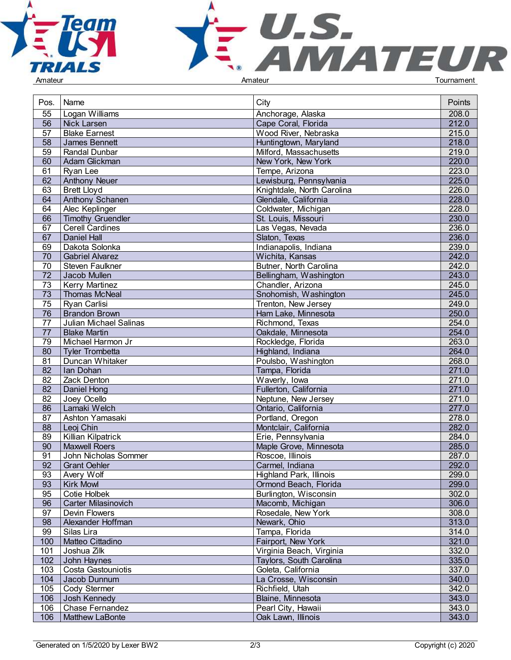



| Pos.            | Name                       | City                       | Points |
|-----------------|----------------------------|----------------------------|--------|
| 55              | Logan Williams             | Anchorage, Alaska          | 208.0  |
| $\overline{56}$ | Nick Larsen                | Cape Coral, Florida        | 212.0  |
| $\overline{57}$ | <b>Blake Earnest</b>       | Wood River, Nebraska       | 215.0  |
| 58              | James Bennett              | Huntingtown, Maryland      | 218.0  |
| 59              | Randal Dunbar              | Milford, Massachusetts     | 219.0  |
| 60              | Adam Glickman              | New York, New York         | 220.0  |
| 61              | Ryan Lee                   | Tempe, Arizona             | 223.0  |
| 62              |                            | Lewisburg, Pennsylvania    | 225.0  |
|                 | <b>Anthony Neuer</b>       |                            |        |
| 63              | <b>Brett Lloyd</b>         | Knightdale, North Carolina | 226.0  |
| 64              | Anthony Schanen            | Glendale, California       | 228.0  |
| 64              | Alec Keplinger             | Coldwater, Michigan        | 228.0  |
| 66              | <b>Timothy Gruendler</b>   | St. Louis, Missouri        | 230.0  |
| 67              | <b>Cerell Cardines</b>     | Las Vegas, Nevada          | 236.0  |
| 67              | <b>Daniel Hall</b>         | Slaton, Texas              | 236.0  |
| 69              | Dakota Solonka             | Indianapolis, Indiana      | 239.0  |
| 70              | <b>Gabriel Alvarez</b>     | Wichita, Kansas            | 242.0  |
| 70              | Steven Faulkner            | Butner, North Carolina     | 242.0  |
| 72              | Jacob Mullen               | Bellingham, Washington     | 243.0  |
| 73              | <b>Kerry Martinez</b>      | Chandler, Arizona          | 245.0  |
| 73              | <b>Thomas McNeal</b>       | Snohomish, Washington      | 245.0  |
| 75              | Ryan Carlisi               | Trenton, New Jersey        | 249.0  |
| 76              | <b>Brandon Brown</b>       | Ham Lake, Minnesota        | 250.0  |
| 77              | Julian Michael Salinas     | Richmond, Texas            | 254.0  |
| 77              | <b>Blake Martin</b>        | Oakdale, Minnesota         | 254.0  |
| 79              | Michael Harmon Jr          | Rockledge, Florida         | 263.0  |
| 80              | <b>Tyler Trombetta</b>     | Highland, Indiana          | 264.0  |
| 81              | Duncan Whitaker            | Poulsbo, Washington        | 268.0  |
| 82              | Ian Dohan                  | Tampa, Florida             | 271.0  |
| 82              | Zack Denton                | Waverly, Iowa              | 271.0  |
| 82              | Daniel Hong                | Fullerton, California      | 271.0  |
| $\overline{82}$ | Joey Ocello                | Neptune, New Jersey        | 271.0  |
| $\overline{86}$ | Lamaki Welch               | Ontario, California        | 277.0  |
| 87              | Ashton Yamasaki            | Portland, Oregon           | 278.0  |
| $\overline{88}$ | Leoj Chin                  | Montclair, California      | 282.0  |
| 89              | Killian Kilpatrick         | Erie, Pennsylvania         | 284.0  |
| 90              | Maxwell Roers              | Maple Grove, Minnesota     | 285.0  |
| 91              | John Nicholas Sommer       | Roscoe, Illinois           | 287.0  |
| 92              | <b>Grant Oehler</b>        | Carmel, Indiana            | 292.0  |
|                 |                            |                            |        |
| 93              | Avery Wolf                 | Highland Park, Illinois    | 299.0  |
| 93              | Kirk Mowl                  | Ormond Beach, Florida      | 299.0  |
| 95              | Cotie Holbek               | Burlington, Wisconsin      | 302.0  |
| 96              | <b>Carter Milasinovich</b> | Macomb, Michigan           | 306.0  |
| 97              | Devin Flowers              | Rosedale, New York         | 308.0  |
| 98              | Alexander Hoffman          | Newark, Ohio               | 313.0  |
| 99              | Silas Lira                 | Tampa, Florida             | 314.0  |
| 100             | Matteo Cittadino           | Fairport, New York         | 321.0  |
| 101             | Joshua Zilk                | Virginia Beach, Virginia   | 332.0  |
| 102             | John Haynes                | Taylors, South Carolina    | 335.0  |
| 103             | Costa Gastouniotis         | Goleta, California         | 337.0  |
| 104             | Jacob Dunnum               | La Crosse, Wisconsin       | 340.0  |
| 105             | Cody Stermer               | Richfield, Utah            | 342.0  |
| 106             | Josh Kennedy               | Blaine, Minnesota          | 343.0  |
| 106             | Chase Fernandez            | Pearl City, Hawaii         | 343.0  |
| 106             | Matthew LaBonte            | Oak Lawn, Illinois         | 343.0  |